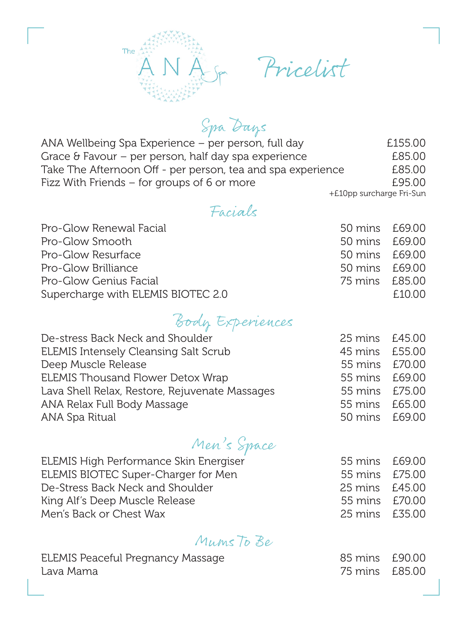

Pricelist

Spa Days

ANA Wellbeing Spa Experience – per person, full day  $\begin{array}{r} \text{E155.00} \\ \text{Grace} \\ \text{E85.00} \end{array}$ Grace & Favour – per person, half day spa experience E85.00<br>Take The Afternoon Off - per person, tea and spa experience E85.00 Take The Afternoon Off - per person, tea and spa experience Fizz With Friends – for groups of 6 or more **E95.00** 

+£10pp surcharge Fri-Sun

#### Facials

| Pro-Glow Renewal Facial            | 50 mins £69.00 |        |
|------------------------------------|----------------|--------|
| Pro-Glow Smooth                    | 50 mins £69.00 |        |
| Pro-Glow Resurface                 | 50 mins £69.00 |        |
| Pro-Glow Brilliance                | 50 mins £69.00 |        |
| Pro-Glow Genius Facial             | 75 mins £85.00 |        |
| Supercharge with ELEMIS BIOTEC 2.0 |                | f.1000 |

# Body Experiences

| De-stress Back Neck and Shoulder               | 25 mins £45.00 |  |
|------------------------------------------------|----------------|--|
| <b>ELEMIS Intensely Cleansing Salt Scrub</b>   | 45 mins £55.00 |  |
| Deep Muscle Release                            | 55 mins £70.00 |  |
| <b>ELEMIS Thousand Flower Detox Wrap</b>       | 55 mins £69.00 |  |
| Lava Shell Relax, Restore, Rejuvenate Massages | 55 mins £75.00 |  |
| ANA Relax Full Body Massage                    | 55 mins £65.00 |  |
| ANA Spa Ritual                                 | 50 mins £69.00 |  |
|                                                |                |  |

## Men's Space

| ELEMIS High Performance Skin Energiser | 55 mins £69.00 |  |
|----------------------------------------|----------------|--|
| ELEMIS BIOTEC Super-Charger for Men    | 55 mins £75.00 |  |
| De-Stress Back Neck and Shoulder       | 25 mins £45.00 |  |
| King Alf's Deep Muscle Release         | 55 mins £70.00 |  |
| Men's Back or Chest Wax                | 25 mins £35.00 |  |

#### Mums To Be

| ELEMIS Peaceful Pregnancy Massage | 85 mins £90.00 |  |
|-----------------------------------|----------------|--|
| Lava Mama                         | 75 mins £85.00 |  |